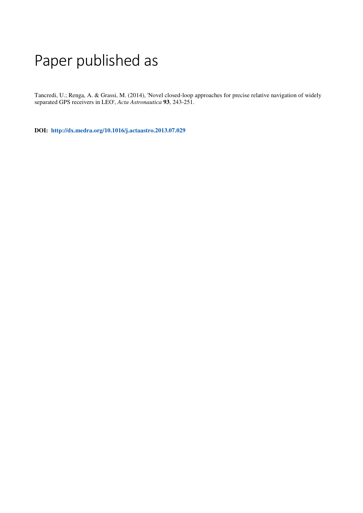# Paper published as

Tancredi, U.; Renga, A. & Grassi, M. (2014), 'Novel closed-loop approaches for precise relative navigation of widely separated GPS receivers in LEO', *Acta Astronautica* **93**, 243-251.

**DOI: http://dx.medra.org/10.1016/j.actaastro.2013.07.029**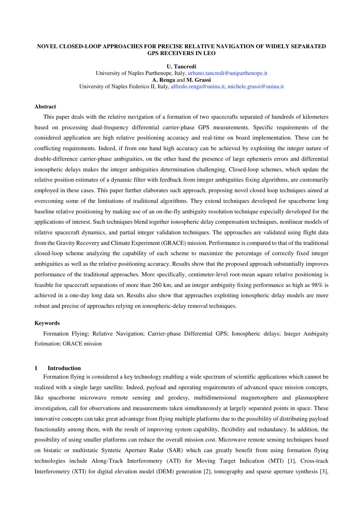# **NOVEL CLOSED-LOOP APPROACHES FOR PRECISE RELATIVE NAVIGATION OF WIDELY SEPARATED GPS RECEIVERS IN LEO**

**U. Tancredi** 

University of Naples Parthenope, Italy, urbano.tancredi@uniparthenope.it **A. Renga** and **M. Grassi**  University of Naples Federico II, Italy, alfredo.renga@unina.it, michele.grassi@unina.it

#### **Abstract**

This paper deals with the relative navigation of a formation of two spacecrafts separated of hundreds of kilometers based on processing dual-frequency differential carrier-phase GPS measurements. Specific requirements of the considered application are high relative positioning accuracy and real-time on board implementation. These can be conflicting requirements. Indeed, if from one hand high accuracy can be achieved by exploiting the integer nature of double-difference carrier-phase ambiguities, on the other hand the presence of large ephemeris errors and differential ionospheric delays makes the integer ambiguities determination challenging. Closed-loop schemes, which update the relative position estimates of a dynamic filter with feedback from integer ambiguities fixing algorithms, are customarily employed in these cases. This paper further elaborates such approach, proposing novel closed loop techniques aimed at overcoming some of the limitations of traditional algorithms. They extend techniques developed for spaceborne long baseline relative positioning by making use of an on-the-fly ambiguity resolution technique especially developed for the applications of interest. Such techniques blend together ionospheric delay compensation techniques, nonlinear models of relative spacecraft dynamics, and partial integer validation techniques. The approaches are validated using flight data from the Gravity Recovery and Climate Experiment (GRACE) mission. Performance is compared to that of the traditional closed-loop scheme analyzing the capability of each scheme to maximize the percentage of correctly fixed integer ambiguities as well as the relative positioning accuracy. Results show that the proposed approach substantially improves performance of the traditional approaches. More specifically, centimeter-level root-mean square relative positioning is feasible for spacecraft separations of more than 260 km, and an integer ambiguity fixing performance as high as 98% is achieved in a one-day long data set. Results also show that approaches exploiting ionospheric delay models are more robust and precise of approaches relying on ionospheric-delay removal techniques.

# **Keywords**

Formation Flying; Relative Navigation; Carrier-phase Differential GPS; Ionospheric delays; Integer Ambiguity Estimation; GRACE mission

#### **1 Introduction**

Formation flying is considered a key technology enabling a wide spectrum of scientific applications which cannot be realized with a single large satellite. Indeed, payload and operating requirements of advanced space mission concepts, like spaceborne microwave remote sensing and geodesy, multidimensional magnetosphere and plasmasphere investigation, call for observations and measurements taken simultaneously at largely separated points in space. These innovative concepts can take great advantage from flying multiple platforms due to the possibility of distributing payload functionality among them, with the result of improving system capability, flexibility and redundancy. In addition, the possibility of using smaller platforms can reduce the overall mission cost. Microwave remote sensing techniques based on bistatic or multistatic Syntetic Aperture Radar (SAR) which can greatly benefit from using formation flying technologies include Along-Track Interferometry (ATI) for Moving Target Indication (MTI) [1], Cross-track Interferometry (XTI) for digital elevation model (DEM) generation [2], tomography and sparse aperture synthesis [3],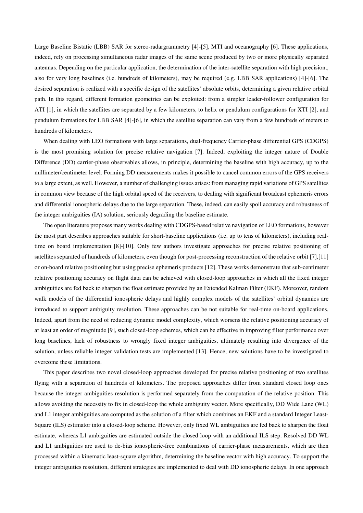Large Baseline Bistatic (LBB) SAR for stereo-radargrammetry [4]-[5], MTI and oceanography [6]. These applications, indeed, rely on processing simultaneous radar images of the same scene produced by two or more physically separated antennas. Depending on the particular application, the determination of the inter-satellite separation with high precision,, also for very long baselines (i.e. hundreds of kilometers), may be required (e.g. LBB SAR applications) [4]-[6]. The desired separation is realized with a specific design of the satellites' absolute orbits, determining a given relative orbital path. In this regard, different formation geometries can be exploited: from a simpler leader-follower configuration for ATI [1], in which the satellites are separated by a few kilometers, to helix or pendulum configurations for XTI [2], and pendulum formations for LBB SAR [4]-[6], in which the satellite separation can vary from a few hundreds of meters to hundreds of kilometers.

When dealing with LEO formations with large separations, dual-frequency Carrier-phase differential GPS (CDGPS) is the most promising solution for precise relative navigation [7]. Indeed, exploiting the integer nature of Double Difference (DD) carrier-phase observables allows, in principle, determining the baseline with high accuracy, up to the millimeter/centimeter level. Forming DD measurements makes it possible to cancel common errors of the GPS receivers to a large extent, as well. However, a number of challenging issues arises: from managing rapid variations of GPS satellites in common view because of the high orbital speed of the receivers, to dealing with significant broadcast ephemeris errors and differential ionospheric delays due to the large separation. These, indeed, can easily spoil accuracy and robustness of the integer ambiguities (IA) solution, seriously degrading the baseline estimate.

The open literature proposes many works dealing with CDGPS-based relative navigation of LEO formations, however the most part describes approaches suitable for short-baseline applications (i.e. up to tens of kilometers), including realtime on board implementation [8]-[10]. Only few authors investigate approaches for precise relative positioning of satellites separated of hundreds of kilometers, even though for post-processing reconstruction of the relative orbit [7],[11] or on-board relative positioning but using precise ephemeris products [12]. These works demonstrate that sub-centimeter relative positioning accuracy on flight data can be achieved with closed-loop approaches in which all the fixed integer ambiguities are fed back to sharpen the float estimate provided by an Extended Kalman Filter (EKF). Moreover, random walk models of the differential ionospheric delays and highly complex models of the satellites' orbital dynamics are introduced to support ambiguity resolution. These approaches can be not suitable for real-time on-board applications. Indeed, apart from the need of reducing dynamic model complexity, which worsens the relative positioning accuracy of at least an order of magnitude [9], such closed-loop schemes, which can be effective in improving filter performance over long baselines, lack of robustness to wrongly fixed integer ambiguities, ultimately resulting into divergence of the solution, unless reliable integer validation tests are implemented [13]. Hence, new solutions have to be investigated to overcome these limitations.

This paper describes two novel closed-loop approaches developed for precise relative positioning of two satellites flying with a separation of hundreds of kilometers. The proposed approaches differ from standard closed loop ones because the integer ambiguities resolution is performed separately from the computation of the relative position. This allows avoiding the necessity to fix in closed-loop the whole ambiguity vector. More specifically, DD Wide Lane (WL) and L1 integer ambiguities are computed as the solution of a filter which combines an EKF and a standard Integer Least-Square (ILS) estimator into a closed-loop scheme. However, only fixed WL ambiguities are fed back to sharpen the float estimate, whereas L1 ambiguities are estimated outside the closed loop with an additional ILS step. Resolved DD WL and L1 ambiguities are used to de-bias ionospheric-free combinations of carrier-phase measurements, which are then processed within a kinematic least-square algorithm, determining the baseline vector with high accuracy. To support the integer ambiguities resolution, different strategies are implemented to deal with DD ionospheric delays. In one approach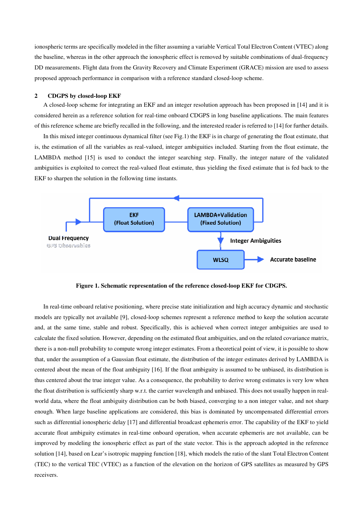ionospheric terms are specifically modeled in the filter assuming a variable Vertical Total Electron Content (VTEC) along the baseline, whereas in the other approach the ionospheric effect is removed by suitable combinations of dual-frequency DD measurements. Flight data from the Gravity Recovery and Climate Experiment (GRACE) mission are used to assess proposed approach performance in comparison with a reference standard closed-loop scheme.

#### **2 CDGPS by closed-loop EKF**

A closed-loop scheme for integrating an EKF and an integer resolution approach has been proposed in [14] and it is considered herein as a reference solution for real-time onboard CDGPS in long baseline applications. The main features of this reference scheme are briefly recalled in the following, and the interested reader is referred to [14] for further details.

In this mixed integer continuous dynamical filter (see Fig.1) the EKF is in charge of generating the float estimate, that is, the estimation of all the variables as real-valued, integer ambiguities included. Starting from the float estimate, the LAMBDA method [15] is used to conduct the integer searching step. Finally, the integer nature of the validated ambiguities is exploited to correct the real-valued float estimate, thus yielding the fixed estimate that is fed back to the EKF to sharpen the solution in the following time instants.



**Figure 1. Schematic representation of the reference closed-loop EKF for CDGPS.** 

In real-time onboard relative positioning, where precise state initialization and high accuracy dynamic and stochastic models are typically not available [9], closed-loop schemes represent a reference method to keep the solution accurate and, at the same time, stable and robust. Specifically, this is achieved when correct integer ambiguities are used to calculate the fixed solution. However, depending on the estimated float ambiguities, and on the related covariance matrix, there is a non-null probability to compute wrong integer estimates. From a theoretical point of view, it is possible to show that, under the assumption of a Gaussian float estimate, the distribution of the integer estimates derived by LAMBDA is centered about the mean of the float ambiguity [16]. If the float ambiguity is assumed to be unbiased, its distribution is thus centered about the true integer value. As a consequence, the probability to derive wrong estimates is very low when the float distribution is sufficiently sharp w.r.t. the carrier wavelength and unbiased. This does not usually happen in realworld data, where the float ambiguity distribution can be both biased, converging to a non integer value, and not sharp enough. When large baseline applications are considered, this bias is dominated by uncompensated differential errors such as differential ionospheric delay [17] and differential broadcast ephemeris error. The capability of the EKF to yield accurate float ambiguity estimates in real-time onboard operation, when accurate ephemeris are not available, can be improved by modeling the ionospheric effect as part of the state vector. This is the approach adopted in the reference solution [14], based on Lear's isotropic mapping function [18], which models the ratio of the slant Total Electron Content (TEC) to the vertical TEC (VTEC) as a function of the elevation on the horizon of GPS satellites as measured by GPS receivers.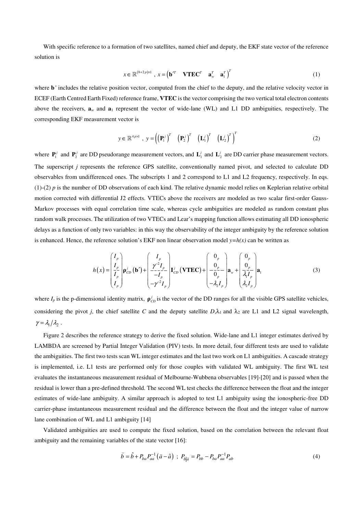With specific reference to a formation of two satellites, named chief and deputy, the EKF state vector of the reference solution is

$$
x \in \mathbb{R}^{(8+2p)\times 1}, \quad x = \left(\mathbf{b}^{\prime T} \quad \mathbf{VTEC}^{T} \quad \mathbf{a}_{w}^{T} \quad \mathbf{a}_{1}^{T}\right)^{T}
$$
 (1)

where **b***'* includes the relative position vector, computed from the chief to the deputy, and the relative velocity vector in ECEF (Earth Centred Earth Fixed) reference frame, **VTEC** is the vector comprising the two vertical total electron contents above the receivers,  $\mathbf{a}_w$  and  $\mathbf{a}_1$  represent the vector of wide-lane (WL) and L1 DD ambiguities, respectively. The corresponding EKF measurement vector is

$$
y \in \mathbb{R}^{4p \times 1}, y = \left(\left(\mathbf{P}_1^j\right)^T \left(\mathbf{P}_2^j\right)^T \left(\mathbf{L}_1^j\right)^T \left(\mathbf{L}_2^j\right)^T\right)^T \tag{2}
$$

where  $P_1^j$  and  $P_2^j$  are DD pseudorange measurement vectors, and  $L_1^j$  and  $L_2^j$  are DD carrier phase measurement vectors. The superscript *j* represents the reference GPS satellite, conventionally named pivot, and selected to calculate DD observables from undifferenced ones. The subscripts 1 and 2 correspond to L1 and L2 frequency, respectively. In eqs.  $(1)-(2)$  *p* is the number of DD observations of each kind. The relative dynamic model relies on Keplerian relative orbital motion corrected with differential J2 effects. VTECs above the receivers are modeled as two scalar first-order Gauss-Markov processes with equal correlation time scale, whereas cycle ambiguities are modeled as random constant plus random walk processes. The utilization of two VTECs and Lear's mapping function allows estimating all DD ionospheric delays as a function of only two variables: in this way the observability of the integer ambiguity by the reference solution is enhanced. Hence, the reference solution's EKF non linear observation model  $y=h(x)$  can be written as

$$
h(x) = \begin{pmatrix} I_p \\ I_p \\ I_p \\ I_p \end{pmatrix} \mathbf{p}_{CD}^j \left( \mathbf{b}' \right) + \begin{pmatrix} I_p \\ \gamma^{-2} I_p \\ -I_p \\ -\gamma^{-2} I_p \end{pmatrix} \mathbf{I}_{CD}^j \left( \mathbf{VTEC} \right) + \begin{pmatrix} 0_p \\ 0_p \\ -\frac{p}{0_p} \\ -\lambda_2 I_p \end{pmatrix} \mathbf{a}_w + \begin{pmatrix} 0_p \\ 0_p \\ \frac{\lambda_1}{\lambda_1 I_p} \\ \lambda_2 I_p \end{pmatrix} \mathbf{a}_1
$$
(3)

where  $I_p$  is the p-dimensional identity matrix,  $\rho_{CD}^j$  is the vector of the DD ranges for all the visible GPS satellite vehicles, considering the pivot *j*, the chief satellite *C* and the deputy satellite  $D, \lambda_1$  and  $\lambda_2$  are L1 and L2 signal wavelength,  $\gamma = \lambda_1 / \lambda_2$ .

Figure 2 describes the reference strategy to derive the fixed solution. Wide-lane and L1 integer estimates derived by LAMBDA are screened by Partial Integer Validation (PIV) tests. In more detail, four different tests are used to validate the ambiguities. The first two tests scan WL integer estimates and the last two work on L1 ambiguities. A cascade strategy is implemented, i.e. L1 tests are performed only for those couples with validated WL ambiguity. The first WL test evaluates the instantaneous measurement residual of Melbourne-Wubbena observables [19]-[20] and is passed when the residual is lower than a pre-defined threshold. The second WL test checks the difference between the float and the integer estimates of wide-lane ambiguity. A similar approach is adopted to test L1 ambiguity using the ionospheric-free DD carrier-phase instantaneous measurement residual and the difference between the float and the integer value of narrow lane combination of WL and L1 ambiguity [14]

Validated ambiguities are used to compute the fixed solution, based on the correlation between the relevant float ambiguity and the remaining variables of the state vector [16]:

-

$$
\breve{b} = \hat{b} + P_{ba} P_{aa}^{-1} (\breve{a} - \hat{a}) \; ; \; P_{b|\breve{a}} = P_{bb} - P_{ba} P_{aa}^{-1} P_{ab} \tag{4}
$$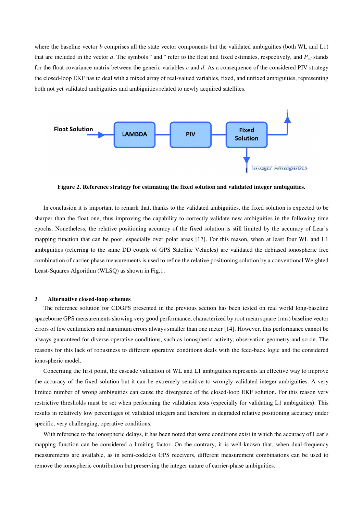where the baseline vector *b* comprises all the state vector components but the validated ambiguities (both WL and L1) that are included in the vector *a*. The symbols ˆ and ˘ refer to the float and fixed estimates, respectively, and *Pcd* stands for the float covariance matrix between the generic variables *c* and *d*. As a consequence of the considered PIV strategy the closed-loop EKF has to deal with a mixed array of real-valued variables, fixed, and unfixed ambiguities, representing both not yet validated ambiguities and ambiguities related to newly acquired satellites.



**Figure 2. Reference strategy for estimating the fixed solution and validated integer ambiguities.**

In conclusion it is important to remark that, thanks to the validated ambiguities, the fixed solution is expected to be sharper than the float one, thus improving the capability to correctly validate new ambiguities in the following time epochs. Nonetheless, the relative positioning accuracy of the fixed solution is still limited by the accuracy of Lear's mapping function that can be poor, especially over polar areas [17]. For this reason, when at least four WL and L1 ambiguities (referring to the same DD couple of GPS Satellite Vehicles) are validated the debiased ionospheric free combination of carrier-phase measurements is used to refine the relative positioning solution by a conventional Weighted Least-Squares Algorithm (WLSQ) as shown in Fig.1.

#### **3 Alternative closed-loop schemes**

The reference solution for CDGPS presented in the previous section has been tested on real world long-baseline spaceborne GPS measurements showing very good performance, characterized by root mean square (rms) baseline vector errors of few centimeters and maximum errors always smaller than one meter [14]. However, this performance cannot be always guaranteed for diverse operative conditions, such as ionospheric activity, observation geometry and so on. The reasons for this lack of robustness to different operative conditions deals with the feed-back logic and the considered ionospheric model.

Concerning the first point, the cascade validation of WL and L1 ambiguities represents an effective way to improve the accuracy of the fixed solution but it can be extremely sensitive to wrongly validated integer ambiguities. A very limited number of wrong ambiguities can cause the divergence of the closed-loop EKF solution. For this reason very restrictive thresholds must be set when performing the validation tests (especially for validating L1 ambiguities). This results in relatively low percentages of validated integers and therefore in degraded relative positioning accuracy under specific, very challenging, operative conditions.

With reference to the ionospheric delays, it has been noted that some conditions exist in which the accuracy of Lear's mapping function can be considered a limiting factor. On the contrary, it is well-known that, when dual-frequency measurements are available, as in semi-codeless GPS receivers, different measurement combinations can be used to remove the ionospheric contribution but preserving the integer nature of carrier-phase ambiguities.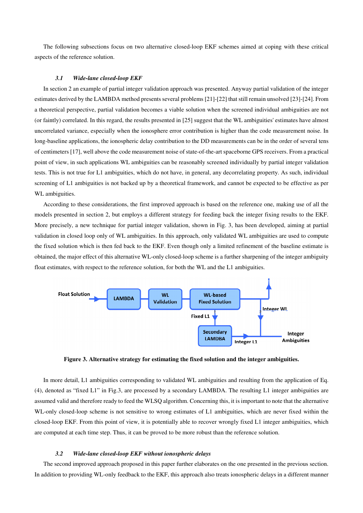The following subsections focus on two alternative closed-loop EKF schemes aimed at coping with these critical aspects of the reference solution.

#### *3.1 Wide-lane closed-loop EKF*

In section 2 an example of partial integer validation approach was presented. Anyway partial validation of the integer estimates derived by the LAMBDA method presents several problems [21]-[22] that still remain unsolved [23]-[24]. From a theoretical perspective, partial validation becomes a viable solution when the screened individual ambiguities are not (or faintly) correlated. In this regard, the results presented in [25] suggest that the WL ambiguities' estimates have almost uncorrelated variance, especially when the ionosphere error contribution is higher than the code measurement noise. In long-baseline applications, the ionospheric delay contribution to the DD measurements can be in the order of several tens of centimeters [17], well above the code measurement noise of state-of-the-art spaceborne GPS receivers. From a practical point of view, in such applications WL ambiguities can be reasonably screened individually by partial integer validation tests. This is not true for L1 ambiguities, which do not have, in general, any decorrelating property. As such, individual screening of L1 ambiguities is not backed up by a theoretical framework, and cannot be expected to be effective as per WL ambiguities.

According to these considerations, the first improved approach is based on the reference one, making use of all the models presented in section 2, but employs a different strategy for feeding back the integer fixing results to the EKF. More precisely, a new technique for partial integer validation, shown in Fig. 3, has been developed, aiming at partial validation in closed loop only of WL ambiguities. In this approach, only validated WL ambiguities are used to compute the fixed solution which is then fed back to the EKF. Even though only a limited refinement of the baseline estimate is obtained, the major effect of this alternative WL-only closed-loop scheme is a further sharpening of the integer ambiguity float estimates, with respect to the reference solution, for both the WL and the L1 ambiguities.



**Figure 3. Alternative strategy for estimating the fixed solution and the integer ambiguities.**

In more detail, L1 ambiguities corresponding to validated WL ambiguities and resulting from the application of Eq. (4), denoted as "fixed L1" in Fig.3, are processed by a secondary LAMBDA. The resulting L1 integer ambiguities are assumed valid and therefore ready to feed the WLSQ algorithm. Concerning this, it is important to note that the alternative WL-only closed-loop scheme is not sensitive to wrong estimates of L1 ambiguities, which are never fixed within the closed-loop EKF. From this point of view, it is potentially able to recover wrongly fixed L1 integer ambiguities, which are computed at each time step. Thus, it can be proved to be more robust than the reference solution.

# *3.2 Wide-lane closed-loop EKF without ionospheric delays*

The second improved approach proposed in this paper further elaborates on the one presented in the previous section. In addition to providing WL-only feedback to the EKF, this approach also treats ionospheric delays in a different manner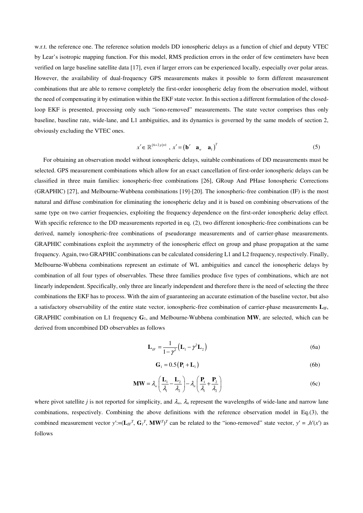w.r.t. the reference one. The reference solution models DD ionospheric delays as a function of chief and deputy VTEC by Lear's isotropic mapping function. For this model, RMS prediction errors in the order of few centimeters have been verified on large baseline satellite data [17], even if larger errors can be experienced locally, especially over polar areas. However, the availability of dual-frequency GPS measurements makes it possible to form different measurement combinations that are able to remove completely the first-order ionospheric delay from the observation model, without the need of compensating it by estimation within the EKF state vector. In this section a different formulation of the closedloop EKF is presented, processing only such "iono-removed" measurements. The state vector comprises thus only baseline, baseline rate, wide-lane, and L1 ambiguities, and its dynamics is governed by the same models of section 2, obviously excluding the VTEC ones.

$$
x' \in \mathbb{R}^{(6+2p)\times 1}, x' = (\mathbf{b'} \quad \mathbf{a}_{w} \quad \mathbf{a}_{1})^{T}
$$
 (5)

For obtaining an observation model without ionospheric delays, suitable combinations of DD measurements must be selected. GPS measurement combinations which allow for an exact cancellation of first-order ionospheric delays can be classified in three main families: ionospheric-free combinations [26], GRoup And PHase Ionospheric Corrections (GRAPHIC) [27], and Melbourne-Wubbena combinations [19]-[20]. The ionospheric-free combination (IF) is the most natural and diffuse combination for eliminating the ionospheric delay and it is based on combining observations of the same type on two carrier frequencies, exploiting the frequency dependence on the first-order ionospheric delay effect. With specific reference to the DD measurements reported in eq. (2), two different ionospheric-free combinations can be derived, namely ionospheric-free combinations of pseudorange measurements and of carrier-phase measurements. GRAPHIC combinations exploit the asymmetry of the ionospheric effect on group and phase propagation at the same frequency. Again, two GRAPHIC combinations can be calculated considering L1 and L2 frequency, respectively. Finally, Melbourne-Wubbena combinations represent an estimate of WL ambiguities and cancel the ionospheric delays by combination of all four types of observables. These three families produce five types of combinations, which are not linearly independent. Specifically, only three are linearly independent and therefore there is the need of selecting the three combinations the EKF has to process. With the aim of guaranteeing an accurate estimation of the baseline vector, but also a satisfactory observability of the entire state vector, ionospheric-free combination of carrier-phase measurements **L**IF, GRAPHIC combination on L1 frequency **G**1, and Melbourne-Wubbena combination **MW**, are selected, which can be derived from uncombined DD observables as follows

$$
\mathbf{L}_{IF} = \frac{1}{1 - \gamma^2} \left( \mathbf{L}_1 - \gamma^2 \mathbf{L}_2 \right)
$$
 (6a)

$$
\mathbf{G}_1 = 0.5(\mathbf{P}_1 + \mathbf{L}_1) \tag{6b}
$$

$$
\mathbf{MW} = \lambda_{w} \left( \frac{\mathbf{L}_{1}}{\lambda_{1}} - \frac{\mathbf{L}_{2}}{\lambda_{2}} \right) - \lambda_{n} \left( \frac{\mathbf{P}_{1}}{\lambda_{1}} + \frac{\mathbf{P}_{2}}{\lambda_{2}} \right)
$$
(6c)

where pivot satellite *j* is not reported for simplicity, and  $\lambda_w$ ,  $\lambda_n$  represent the wavelengths of wide-lane and narrow lane combinations, respectively. Combining the above definitions with the reference observation model in Eq.(3), the combined measurement vector  $y' := (\mathbf{L}_I \mathbf{F}^T, \mathbf{G}_I \mathbf{F}^T, \mathbf{M} \mathbf{W}^T)^T$  can be related to the "iono-removed" state vector,  $y' = h'(x')$  as follows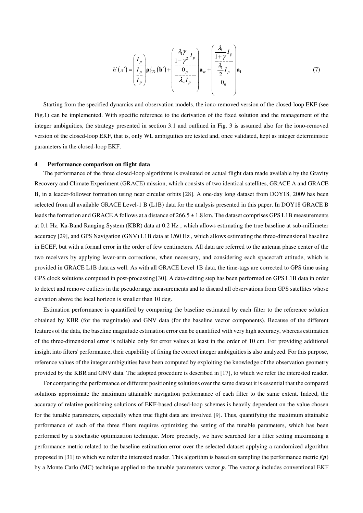$$
h'(x') = \left(\frac{I_p}{I_p}\right) \mathbf{p}_{CD}'\left(\mathbf{b}'\right) + \left(\frac{\frac{\lambda_1 \gamma}{1 - \gamma^2} I_p}{-\frac{\lambda_0}{\lambda_w} I_p} \right) \mathbf{a}_w + \left(\frac{\frac{\lambda_1}{1 + \gamma} I_p}{-\frac{\lambda_1}{\lambda_p} I_p}{-\frac{\lambda_1}{\lambda_w} I_p} \right) \mathbf{a}_1\tag{7}
$$

Starting from the specified dynamics and observation models, the iono-removed version of the closed-loop EKF (see Fig.1) can be implemented. With specific reference to the derivation of the fixed solution and the management of the integer ambiguities, the strategy presented in section 3.1 and outlined in Fig. 3 is assumed also for the iono-removed version of the closed-loop EKF, that is, only WL ambiguities are tested and, once validated, kept as integer deterministic parameters in the closed-loop EKF.

# **4 Performance comparison on flight data**

The performance of the three closed-loop algorithms is evaluated on actual flight data made available by the Gravity Recovery and Climate Experiment (GRACE) mission, which consists of two identical satellites, GRACE A and GRACE B, in a leader-follower formation using near circular orbits [28]. A one-day long dataset from DOY18, 2009 has been selected from all available GRACE Level-1 B (L1B) data for the analysis presented in this paper. In DOY18 GRACE B leads the formation and GRACE A follows at a distance of 266.5 ± 1.8 km. The dataset comprises GPS L1B measurements at 0.1 Hz, Ka-Band Ranging System (KBR) data at 0.2 Hz , which allows estimating the true baseline at sub-millimeter accuracy [29], and GPS Navigation (GNV) L1B data at 1/60 Hz , which allows estimating the three-dimensional baseline in ECEF, but with a formal error in the order of few centimeters. All data are referred to the antenna phase center of the two receivers by applying lever-arm corrections, when necessary, and considering each spacecraft attitude, which is provided in GRACE L1B data as well. As with all GRACE Level 1B data, the time-tags are corrected to GPS time using GPS clock solutions computed in post-processing [30]. A data-editing step has been performed on GPS L1B data in order to detect and remove outliers in the pseudorange measurements and to discard all observations from GPS satellites whose elevation above the local horizon is smaller than 10 deg.

Estimation performance is quantified by comparing the baseline estimated by each filter to the reference solution obtained by KBR (for the magnitude) and GNV data (for the baseline vector components). Because of the different features of the data, the baseline magnitude estimation error can be quantified with very high accuracy, whereas estimation of the three-dimensional error is reliable only for error values at least in the order of 10 cm. For providing additional insight into filters' performance, their capability of fixing the correct integer ambiguities is also analyzed. For this purpose, reference values of the integer ambiguities have been computed by exploiting the knowledge of the observation geometry provided by the KBR and GNV data. The adopted procedure is described in [17], to which we refer the interested reader.

For comparing the performance of different positioning solutions over the same dataset it is essential that the compared solutions approximate the maximum attainable navigation performance of each filter to the same extent. Indeed, the accuracy of relative positioning solutions of EKF-based closed-loop schemes is heavily dependent on the value chosen for the tunable parameters, especially when true flight data are involved [9]. Thus, quantifying the maximum attainable performance of each of the three filters requires optimizing the setting of the tunable parameters, which has been performed by a stochastic optimization technique. More precisely, we have searched for a filter setting maximizing a performance metric related to the baseline estimation error over the selected dataset applying a randomized algorithm proposed in [31] to which we refer the interested reader. This algorithm is based on sampling the performance metric  $f(\mathbf{p})$ by a Monte Carlo (MC) technique applied to the tunable parameters vector *p*. The vector *p* includes conventional EKF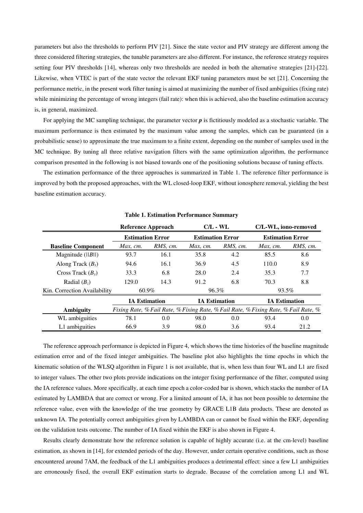parameters but also the thresholds to perform PIV [21]. Since the state vector and PIV strategy are different among the three considered filtering strategies, the tunable parameters are also different. For instance, the reference strategy requires setting four PIV thresholds [14], whereas only two thresholds are needed in both the alternative strategies [21]-[22]. Likewise, when VTEC is part of the state vector the relevant EKF tuning parameters must be set [21]. Concerning the performance metric, in the present work filter tuning is aimed at maximizing the number of fixed ambiguities (fixing rate) while minimizing the percentage of wrong integers (fail rate): when this is achieved, also the baseline estimation accuracy is, in general, maximized.

For applying the MC sampling technique, the parameter vector  $p$  is fictitiously modeled as a stochastic variable. The maximum performance is then estimated by the maximum value among the samples, which can be guaranteed (in a probabilistic sense) to approximate the true maximum to a finite extent, depending on the number of samples used in the MC technique. By tuning all three relative navigation filters with the same optimization algorithm, the performance comparison presented in the following is not biased towards one of the positioning solutions because of tuning effects.

The estimation performance of the three approaches is summarized in Table 1. The reference filter performance is improved by both the proposed approaches, with the WL closed-loop EKF, without ionosphere removal, yielding the best baseline estimation accuracy.

|                              | <b>Reference Approach</b> |          | $CL - WL$                                                                           |          | C/L-WL, iono-removed    |          |
|------------------------------|---------------------------|----------|-------------------------------------------------------------------------------------|----------|-------------------------|----------|
|                              | <b>Estimation Error</b>   |          | <b>Estimation Error</b>                                                             |          | <b>Estimation Error</b> |          |
| <b>Baseline Component</b>    | Max, cm.                  | RMS, cm. | Max, cm.                                                                            | RMS, cm. | Max, cm.                | RMS, cm. |
| Magnitude $(  B  )$          | 93.7                      | 16.1     | 35.8                                                                                | 4.2      | 85.5                    | 8.6      |
| Along Track $(B_x)$          | 94.6                      | 16.1     | 36.9                                                                                | 4.5      | 110.0                   | 8.9      |
| Cross Track $(B_v)$          | 33.3                      | 6.8      | 28.0                                                                                | 2.4      | 35.3                    | 7.7      |
| Radial $(B_7)$               | 129.0                     | 14.3     | 91.2                                                                                | 6.8      | 70.3                    | 8.8      |
| Kin. Correction Availability | 60.9%                     |          | 96.3%                                                                               |          | 93.5%                   |          |
|                              | <b>IA Estimation</b>      |          | <b>IA Estimation</b>                                                                |          | <b>IA Estimation</b>    |          |
| Ambiguity                    |                           |          | Fixing Rate, % Fail Rate, % Fixing Rate, % Fail Rate, % Fixing Rate, % Fail Rate, % |          |                         |          |
| WL ambiguities               | 78.1                      | 0.0      | 98.0                                                                                | 0.0      | 93.4                    | 0.0      |
| L1 ambiguities               | 66.9                      | 3.9      | 98.0                                                                                | 3.6      | 93.4                    | 21.2     |

**Table 1. Estimation Performance Summary** 

The reference approach performance is depicted in Figure 4, which shows the time histories of the baseline magnitude estimation error and of the fixed integer ambiguities. The baseline plot also highlights the time epochs in which the kinematic solution of the WLSQ algorithm in Figure 1 is not available, that is, when less than four WL and L1 are fixed to integer values. The other two plots provide indications on the integer fixing performance of the filter, computed using the IA reference values. More specifically, at each time epoch a color-coded bar is shown, which stacks the number of IA estimated by LAMBDA that are correct or wrong. For a limited amount of IA, it has not been possible to determine the reference value, even with the knowledge of the true geometry by GRACE L1B data products. These are denoted as unknown IA. The potentially correct ambiguities given by LAMBDA can or cannot be fixed within the EKF, depending on the validation tests outcome. The number of IA fixed within the EKF is also shown in Figure 4.

Results clearly demonstrate how the reference solution is capable of highly accurate (i.e. at the cm-level) baseline estimation, as shown in [14], for extended periods of the day. However, under certain operative conditions, such as those encountered around 7AM, the feedback of the L1 ambiguities produces a detrimental effect: since a few L1 ambiguities are erroneously fixed, the overall EKF estimation starts to degrade. Because of the correlation among L1 and WL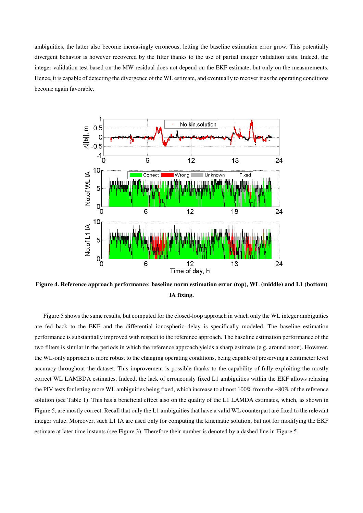ambiguities, the latter also become increasingly erroneous, letting the baseline estimation error grow. This potentially divergent behavior is however recovered by the filter thanks to the use of partial integer validation tests. Indeed, the integer validation test based on the MW residual does not depend on the EKF estimate, but only on the measurements. Hence, it is capable of detecting the divergence of the WL estimate, and eventually to recover it as the operating conditions become again favorable.



**Figure 4. Reference approach performance: baseline norm estimation error (top), WL (middle) and L1 (bottom) IA fixing.** 

Figure 5 shows the same results, but computed for the closed-loop approach in which only the WL integer ambiguities are fed back to the EKF and the differential ionospheric delay is specifically modeled. The baseline estimation performance is substantially improved with respect to the reference approach. The baseline estimation performance of the two filters is similar in the periods in which the reference approach yields a sharp estimate (e.g. around noon). However, the WL-only approach is more robust to the changing operating conditions, being capable of preserving a centimeter level accuracy throughout the dataset. This improvement is possible thanks to the capability of fully exploiting the mostly correct WL LAMBDA estimates. Indeed, the lack of erroneously fixed L1 ambiguities within the EKF allows relaxing the PIV tests for letting more WL ambiguities being fixed, which increase to almost 100% from the ~80% of the reference solution (see Table 1). This has a beneficial effect also on the quality of the L1 LAMDA estimates, which, as shown in Figure 5, are mostly correct. Recall that only the L1 ambiguities that have a valid WL counterpart are fixed to the relevant integer value. Moreover, such L1 IA are used only for computing the kinematic solution, but not for modifying the EKF estimate at later time instants (see Figure 3). Therefore their number is denoted by a dashed line in Figure 5.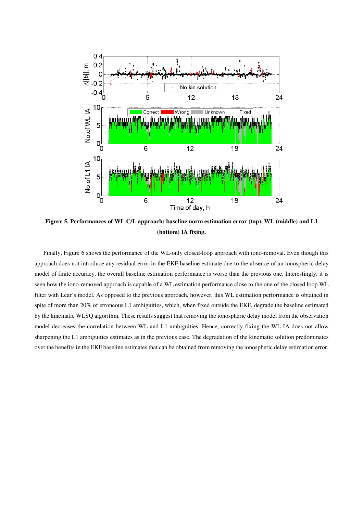

**Figure 5. Performances of WL C/L approach: baseline norm estimation error (top), WL (middle) and L1 (bottom) IA fixing.** 

Finally, Figure 6 shows the performance of the WL-only closed-loop approach with iono-removal. Even though this approach does not introduce any residual error in the EKF baseline estimate due to the absence of an ionospheric delay model of finite accuracy, the overall baseline estimation performance is worse than the previous one. Interestingly, it is seen how the iono-removed approach is capable of a WL estimation performance close to the one of the closed loop WL filter with Lear's model. As opposed to the previous approach, however, this WL estimation performance is obtained in spite of more than 20% of erroneous L1 ambiguities, which, when fixed outside the EKF, degrade the baseline estimated by the kinematic WLSQ algorithm. These results suggest that removing the ionospheric delay model from the observation model decreases the correlation between WL and L1 ambiguities. Hence, correctly fixing the WL IA does not allow sharpening the L1 ambiguities estimates as in the previous case. The degradation of the kinematic solution predominates over the benefits in the EKF baseline estimates that can be obtained from removing the ionospheric delay estimation error.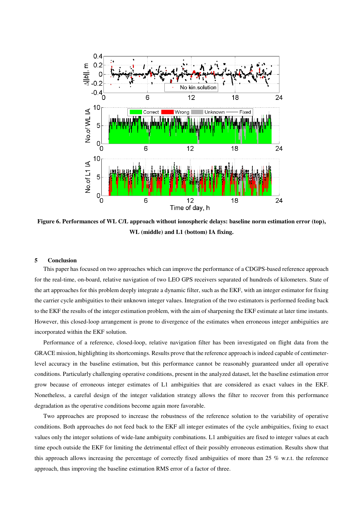

**Figure 6. Performances of WL C/L approach without ionospheric delays: baseline norm estimation error (top), WL (middle) and L1 (bottom) IA fixing.** 

# **5 Conclusion**

This paper has focused on two approaches which can improve the performance of a CDGPS-based reference approach for the real-time, on-board, relative navigation of two LEO GPS receivers separated of hundreds of kilometers. State of the art approaches for this problem deeply integrate a dynamic filter, such as the EKF, with an integer estimator for fixing the carrier cycle ambiguities to their unknown integer values. Integration of the two estimators is performed feeding back to the EKF the results of the integer estimation problem, with the aim of sharpening the EKF estimate at later time instants. However, this closed-loop arrangement is prone to divergence of the estimates when erroneous integer ambiguities are incorporated within the EKF solution.

Performance of a reference, closed-loop, relative navigation filter has been investigated on flight data from the GRACE mission, highlighting its shortcomings. Results prove that the reference approach is indeed capable of centimeterlevel accuracy in the baseline estimation, but this performance cannot be reasonably guaranteed under all operative conditions. Particularly challenging operative conditions, present in the analyzed dataset, let the baseline estimation error grow because of erroneous integer estimates of L1 ambiguities that are considered as exact values in the EKF. Nonetheless, a careful design of the integer validation strategy allows the filter to recover from this performance degradation as the operative conditions become again more favorable.

Two approaches are proposed to increase the robustness of the reference solution to the variability of operative conditions. Both approaches do not feed back to the EKF all integer estimates of the cycle ambiguities, fixing to exact values only the integer solutions of wide-lane ambiguity combinations. L1 ambiguities are fixed to integer values at each time epoch outside the EKF for limiting the detrimental effect of their possibly erroneous estimation. Results show that this approach allows increasing the percentage of correctly fixed ambiguities of more than 25 % w.r.t. the reference approach, thus improving the baseline estimation RMS error of a factor of three.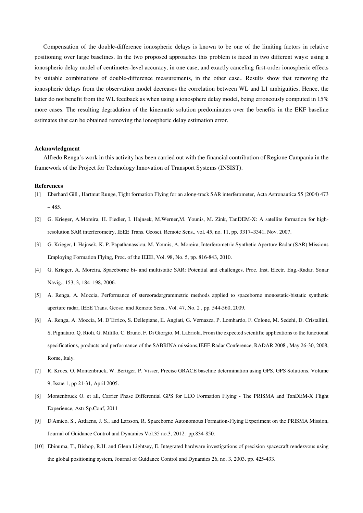Compensation of the double-difference ionospheric delays is known to be one of the limiting factors in relative positioning over large baselines. In the two proposed approaches this problem is faced in two different ways: using a ionospheric delay model of centimeter-level accuracy, in one case, and exactly canceling first-order ionospheric effects by suitable combinations of double-difference measurements, in the other case.. Results show that removing the ionospheric delays from the observation model decreases the correlation between WL and L1 ambiguities. Hence, the latter do not benefit from the WL feedback as when using a ionosphere delay model, being erroneously computed in 15% more cases. The resulting degradation of the kinematic solution predominates over the benefits in the EKF baseline estimates that can be obtained removing the ionospheric delay estimation error.

#### **Acknowledgment**

Alfredo Renga's work in this activity has been carried out with the financial contribution of Regione Campania in the framework of the Project for Technology Innovation of Transport Systems (INSIST).

### **References**

- [1] Eberhard Gill , Hartmut Runge, Tight formation Flying for an along-track SAR interferometer, Acta Astronautica 55 (2004) 473  $-485.$
- [2] G. Krieger, A.Moreira, H. Fiedler, I. Hajnsek, M.Werner,M. Younis, M. Zink, TanDEM-X: A satellite formation for highresolution SAR interferometry, IEEE Trans. Geosci. Remote Sens., vol. 45, no. 11, pp. 3317–3341, Nov. 2007.
- [3] G. Krieger, I. Hajnsek, K. P. Papathanassiou, M. Younis, A. Moreira, Interferometric Synthetic Aperture Radar (SAR) Missions Employing Formation Flying, Proc. of the IEEE, Vol. 98, No. 5, pp. 816-843, 2010.
- [4] G. Krieger, A. Moreira, Spaceborne bi- and multistatic SAR: Potential and challenges, Proc. Inst. Electr. Eng.-Radar, Sonar Navig., 153, 3, 184–198, 2006.
- [5] A. Renga, A. Moccia, Performance of stereoradargrammetric methods applied to spaceborne monostatic-bistatic synthetic aperture radar, IEEE Trans. Geosc. and Remote Sens., Vol. 47, No. 2 , pp. 544-560, 2009.
- [6] A. Renga, A. Moccia, M. D'Errico, S. Dellepiane, E. Angiati, G. Vernazza, P. Lombardo, F. Colone, M. Sedehi, D. Cristallini, S. Pignataro, Q. Rioli, G. Milillo, C. Bruno, F. Di Giorgio, M. Labriola, From the expected scientific applications to the functional specifications, products and performance of the SABRINA missions,IEEE Radar Conference, RADAR 2008 , May 26-30, 2008, Rome, Italy.
- [7] R. Kroes, O. Montenbruck, W. Bertiger, P. Visser, Precise GRACE baseline determination using GPS, GPS Solutions, Volume 9, Issue 1, pp 21-31, April 2005.
- [8] Montenbruck O. et all, Carrier Phase Differential GPS for LEO Formation Flying The PRISMA and TanDEM-X Flight Experience, Astr.Sp.Conf, 2011
- [9] D'Amico, S., Ardaens, J. S., and Larsson, R. Spaceborne Autonomous Formation-Flying Experiment on the PRISMA Mission, Journal of Guidance Control and Dynamics Vol.35 no.3, 2012. pp.834-850.
- [10] Ebinuma, T., Bishop, R.H. and Glenn Lightsey, E. Integrated hardware investigations of precision spacecraft rendezvous using the global positioning system, Journal of Guidance Control and Dynamics 26, no. 3, 2003. pp. 425-433.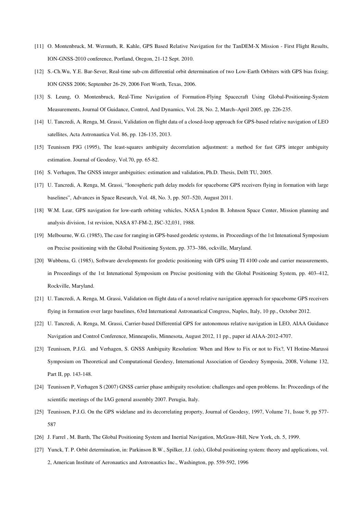- [11] O. Montenbruck, M. Wermuth, R. Kahle, GPS Based Relative Navigation for the TanDEM-X Mission First Flight Results, ION-GNSS-2010 conference, Portland, Oregon, 21-12 Sept. 2010.
- [12] S.-Ch.Wu, Y.E. Bar-Sever, Real-time sub-cm differential orbit determination of two Low-Earth Orbiters with GPS bias fixing; ION GNSS 2006; September 26-29, 2006 Fort Worth, Texas, 2006.
- [13] S. Leung, O. Montenbruck, Real-Time Navigation of Formation-Flying Spacecraft Using Global-Positioning-System Measurements, Journal Of Guidance, Control, And Dynamics, Vol. 28, No. 2, March–April 2005, pp. 226-235.
- [14] U. Tancredi, A. Renga, M. Grassi, Validation on flight data of a closed-loop approach for GPS-based relative navigation of LEO satellites, Acta Astronautica Vol. 86, pp. 126-135, 2013.
- [15] Teunissen PJG (1995), The least-squares ambiguity decorrelation adjustment: a method for fast GPS integer ambiguity estimation. Journal of Geodesy, Vol.70, pp. 65-82.
- [16] S. Verhagen, The GNSS integer ambiguities: estimation and validation, Ph.D. Thesis, Delft TU, 2005.
- [17] U. Tancredi, A. Renga, M. Grassi, "Ionospheric path delay models for spaceborne GPS receivers flying in formation with large baselines", Advances in Space Research, Vol. 48, No. 3, pp. 507–520, August 2011.
- [18] W.M. Lear, GPS navigation for low-earth orbiting vehicles, NASA Lyndon B. Johnson Space Center, Mission planning and analysis division, 1st revision, NASA 87-FM-2, JSC-32,031, 1988.
- [19] Melbourne, W.G. (1985), The case for ranging in GPS-based geodetic systems, in Proceedings of the 1st Intenational Symposium on Precise positioning with the Global Positioning System, pp. 373–386, ockville, Maryland.
- [20] Wubbena, G. (1985), Software developments for geodetic positioning with GPS using TI 4100 code and carrier measurements, in Proceedings of the 1st Intenational Symposium on Precise positioning with the Global Positioning System, pp. 403–412, Rockville, Maryland.
- [21] U. Tancredi, A. Renga, M. Grassi, Validation on flight data of a novel relative navigation approach for spaceborne GPS receivers flying in formation over large baselines, 63rd International Astronautical Congress, Naples, Italy, 10 pp., October 2012.
- [22] U. Tancredi, A. Renga, M. Grassi, Carrier-based Differential GPS for autonomous relative navigation in LEO, AIAA Guidance Navigation and Control Conference, Minneapolis, Minnesota, August 2012, 11 pp., paper id AIAA-2012-4707.
- [23] Teunissen, P.J.G. and Verhagen, S. GNSS Ambiguity Resolution: When and How to Fix or not to Fix?, VI Hotine-Marussi Symposium on Theoretical and Computational Geodesy, International Association of Geodesy Symposia, 2008, Volume 132, Part II, pp. 143-148.
- [24] Teunissen P, Verhagen S (2007) GNSS carrier phase ambiguity resolution: challenges and open problems. In: Proceedings of the scientific meetings of the IAG general assembly 2007. Perugia, Italy.
- [25] Teunissen, P.J.G. On the GPS widelane and its decorrelating property, Journal of Geodesy, 1997, Volume 71, Issue 9, pp 577- 587
- [26] J. Farrel , M. Barth, The Global Positioning System and Inertial Navigation, McGraw-Hill, New York, ch. 5, 1999.
- [27] Yunck, T. P. Orbit determination, in: Parkinson B.W., Spilker, J.J. (eds), Global positioning system: theory and applications, vol. 2, American Institute of Aeronautics and Astronautics Inc., Washington, pp. 559-592, 1996